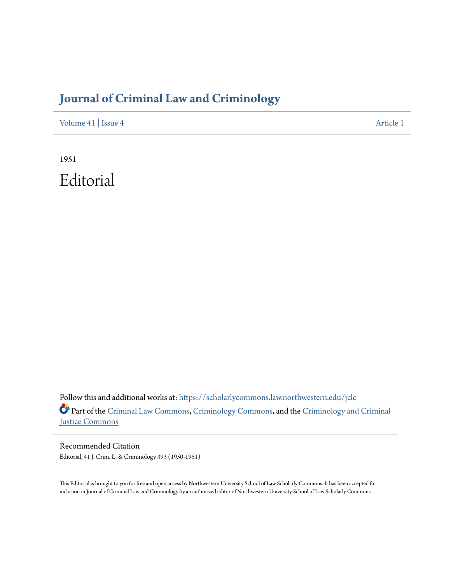## **[Journal of Criminal Law and Criminology](https://scholarlycommons.law.northwestern.edu/jclc?utm_source=scholarlycommons.law.northwestern.edu%2Fjclc%2Fvol41%2Fiss4%2F1&utm_medium=PDF&utm_campaign=PDFCoverPages)**

[Volume 41](https://scholarlycommons.law.northwestern.edu/jclc/vol41?utm_source=scholarlycommons.law.northwestern.edu%2Fjclc%2Fvol41%2Fiss4%2F1&utm_medium=PDF&utm_campaign=PDFCoverPages) | [Issue 4](https://scholarlycommons.law.northwestern.edu/jclc/vol41/iss4?utm_source=scholarlycommons.law.northwestern.edu%2Fjclc%2Fvol41%2Fiss4%2F1&utm_medium=PDF&utm_campaign=PDFCoverPages) [Article 1](https://scholarlycommons.law.northwestern.edu/jclc/vol41/iss4/1?utm_source=scholarlycommons.law.northwestern.edu%2Fjclc%2Fvol41%2Fiss4%2F1&utm_medium=PDF&utm_campaign=PDFCoverPages)

1951 Editorial

Follow this and additional works at: [https://scholarlycommons.law.northwestern.edu/jclc](https://scholarlycommons.law.northwestern.edu/jclc?utm_source=scholarlycommons.law.northwestern.edu%2Fjclc%2Fvol41%2Fiss4%2F1&utm_medium=PDF&utm_campaign=PDFCoverPages) Part of the [Criminal Law Commons](http://network.bepress.com/hgg/discipline/912?utm_source=scholarlycommons.law.northwestern.edu%2Fjclc%2Fvol41%2Fiss4%2F1&utm_medium=PDF&utm_campaign=PDFCoverPages), [Criminology Commons](http://network.bepress.com/hgg/discipline/417?utm_source=scholarlycommons.law.northwestern.edu%2Fjclc%2Fvol41%2Fiss4%2F1&utm_medium=PDF&utm_campaign=PDFCoverPages), and the [Criminology and Criminal](http://network.bepress.com/hgg/discipline/367?utm_source=scholarlycommons.law.northwestern.edu%2Fjclc%2Fvol41%2Fiss4%2F1&utm_medium=PDF&utm_campaign=PDFCoverPages) [Justice Commons](http://network.bepress.com/hgg/discipline/367?utm_source=scholarlycommons.law.northwestern.edu%2Fjclc%2Fvol41%2Fiss4%2F1&utm_medium=PDF&utm_campaign=PDFCoverPages)

Recommended Citation Editorial, 41 J. Crim. L. & Criminology 393 (1950-1951)

This Editorial is brought to you for free and open access by Northwestern University School of Law Scholarly Commons. It has been accepted for inclusion in Journal of Criminal Law and Criminology by an authorized editor of Northwestern University School of Law Scholarly Commons.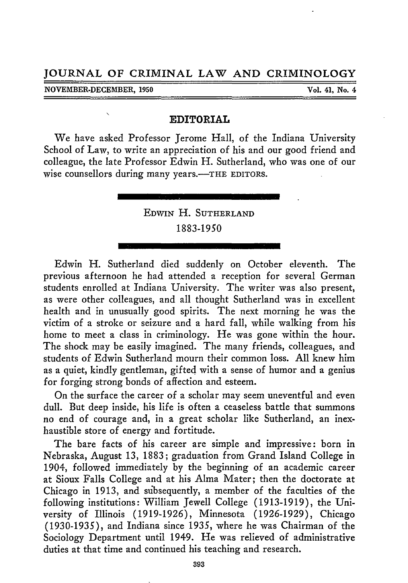NOVEMBER-DECEMBER, **1950 Vol.** 41, **No.** 4

## **EDITORIAL**

We have asked Professor Jerome Hall, of the Indiana University School of Law, to write an appreciation of his and our good friend and colleague, the late Professor Edwin H. Sutherland, who was one of our wise counsellors during many years.-THE EDITORS.

## EDWIN H. **SUTHERLAND** 1883-1950

Edwin H. Sutherland died suddenly on October eleventh. The previous afternoon he had attended a reception for several German students enrolled at Indiana University. The writer was also present, as were other colleagues, and all thought Sutherland was in excellent health and in unusually good spirits. The next morning he was the victim of a stroke or seizure and a hard fall, while walking from his home to meet a class in criminology. He was gone within the hour. The shock may be easily imagined. The many friends, colleagues, and students of Edwin Sutherland mourn their common loss. **All** knew him as a quiet, kindly gentleman, gifted with a sense of humor and a genius for forging strong bonds of affection and esteem.

On the surface the career of a scholar may seem uneventful and even dull. But deep inside, his life is often a ceaseless battle that summons no end of courage and, in a great scholar like Sutherland, an inexhaustible store of energy and fortitude.

The bare facts of his career are simple and impressive: born in Nebraska, August 13, 1883; graduation from Grand Island College in 1904, followed immediately **by** the beginning of an academic career at Sioux Falls College and at his Alma Mater; then the doctorate at Chicago in 1913, and suibsequently, a member of the faculties of the following institutions: William Jewell College (1913-1919), the University of Illinois (1919-1926), Minnesota (1926-1929), Chicago (1930-1935), and Indiana since 1935, where he was Chairman of the Sociology Department until 1949. He was relieved of administrative duties at that time and continued his teaching and research.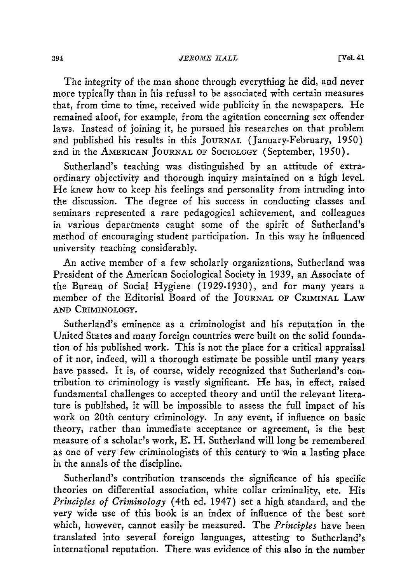## *JEROME HALL*

The integrity of the man shone through everything he did, and never more typically than in his refusal to be associated with certain measures that, from time to time, received wide publicity in the newspapers. He remained aloof, for example, from the agitation concerning sex offender laws. Instead of joining it, he pursued his researches on that problem and published his results in this **JOURNAL** (January-February, 1950) and in the AMERICAN JOURNAL OF SOCIOLOGY (September, 1950).

Sutherland's teaching was distinguished **by** an attitude of extraordinary objectivity and thorough inquiry maintained on a high level. He knew how to keep his feelings and personality from intruding into the discussion. The degree of his success in conducting classes and seminars represented a rare pedagogical achievement, and colleagues in various departments caught some of the spirit of Sutherland's method of encouraging student participation. In this way he influenced university teaching considerably.

An active member of a few scholarly organizations, Sutherland was President of the American Sociological Society in 1939, an Associate of the Bureau of Social Hygiene (1929-1930), and for many years a member of the Editorial Board of the **JOURNAL** OF CRIMINAL LAW AND CRIMINOLOGY.

Sutherland's eminence as a criminologist and his reputation in the United States and many foreign countries were built on the solid foundation of his published work. This is not the place for a critical appraisal of it nor, indeed, will a thorough estimate be possible until many years have passed. It is, of course, widely recognized that Sutherland's contribution to criminology is vastly significant. He has, in effect, raised fundamental challenges to accepted theory and until the relevant literature is published, it will be impossible to assess the full impact of his work on 20th century criminology. In any event, if influence on basic theory, rather than immediate acceptance or agreement, is the best measure of a scholar's work, **E.** H. Sutherland will long be remembered as one of very few criminologists of this century to win a lasting place in the annals of the discipline.

Sutherland's contribution transcends the significance of his specific theories on differential association, white collar criminality, etc. His *Principles of Criminology* (4th ed. 1947) set a high standard, and the very wide use of this book is an index of influence of the best sort which, however, cannot easily be measured. The *Principles* have been translated into several foreign languages, attesting to Sutherland's international reputation. There was evidence of this also in the number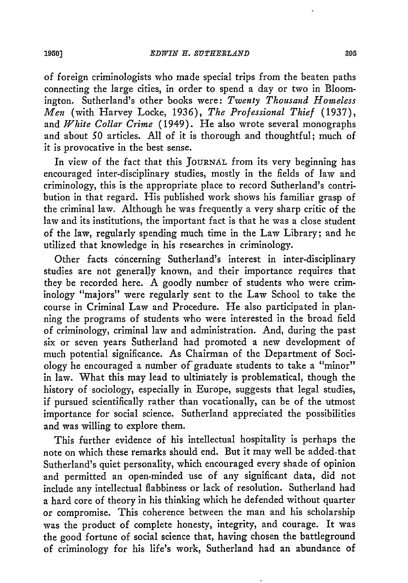of foreign criminologists who made special trips from the beaten paths connecting the large cities, in order to spend a day or two in Bloomington. Sutherland's other books were: *Twenty Thousand Homeless Men* (with Harvey Locke, 1936), *The Professional Thief* (1937), and *White Collar Crime* (1949). He also wrote several monographs and about *50* articles. All of it is thorough and thoughtful; much of it is provocative in the best sense.

In view of the fact that this JOURNAL from its very beginning has encouraged inter-disciplinary studies, mostly in the fields of law and criminology, this is the appropriate place to record Sutherland's contribution in that regard. His published work shows his familiar grasp of the criminal law. Although he was frequently a very sharp critic of the law and its institutions, the important fact is that he was a close student of the law, regularly spending much time in the Law Library; and he utilized that knowledge in his researches in criminology.

Other facts concerning Sutherland's interest in inter-disciplinary studies are not generally known, and their importance requires that they be recorded here. A goodly number of students who were criminology "majors" were regularly sent to the Law School to take the course in Criminal Law and Procedure. He also participated in planning the programs of students who were interested in the broad field of criminology, criminal law and administration. And, during the past six or seven years Sutherland had promoted a new development of much potential significance. As Chairman of the Department of Sociology he encouraged a number of graduate students to take a "minor" in law. What this may lead to ultimately is problematical, though the history of sociology, especially in Europe, suggests that legal studies, if pursued scientifically rather than vocationally, can be of the utmost importance for social science. Sutherland appreciated the possibilities and was willing to explore them.

This further evidence of his intellectual hospitality is perhaps the note on which these remarks should end. But it may well be added-that Sutherland's quiet personality, which encouraged every shade of opinion and permitted an open-minded use of any significant data, did not include any intellectual flabbiness or lack of resolution. Sutherland had a hard core of theory in his thinking which he defended without quarter or compromise. This coherence between the man and his scholarship was the product of complete honesty, integrity, and courage. It was the good fortune of social science that, having chosen the battleground of criminology for his life's work, Sutherland had an abundance of